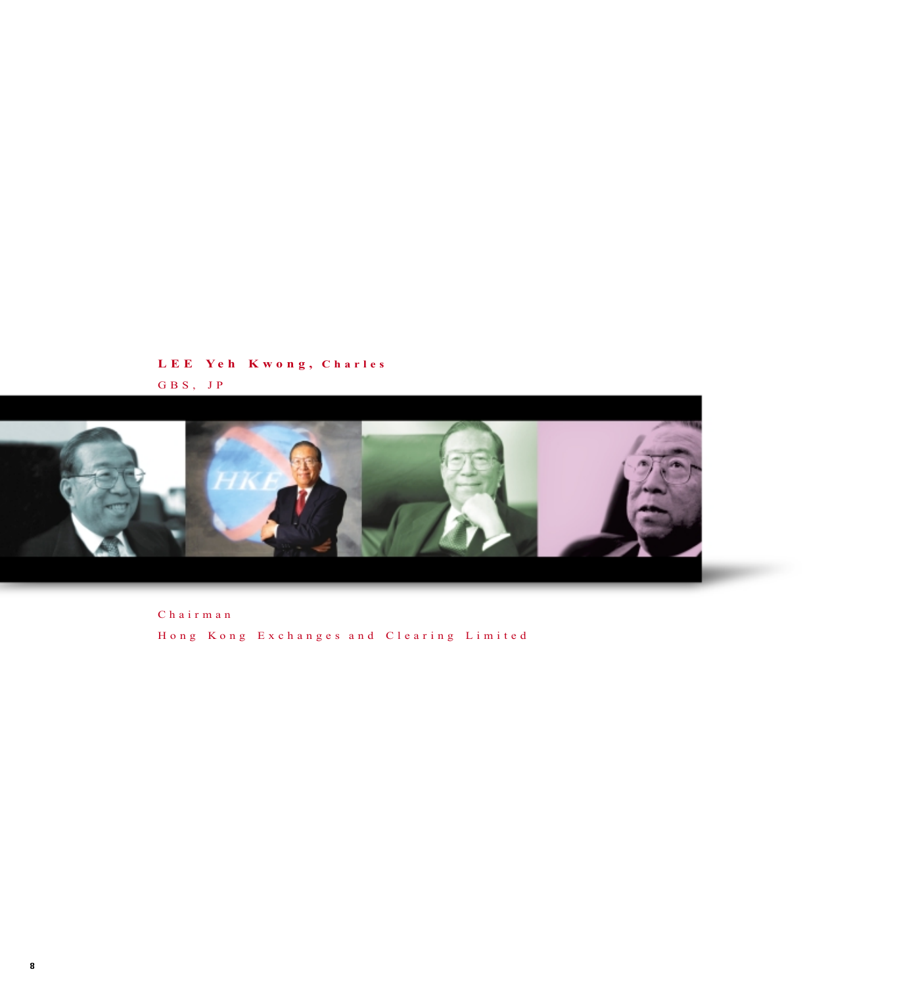## **L E E Ye h K wo n g , Charles** GBS, JP



Chairman H o n g K o n g E x c h a n g e s a n d C l e a r i n g L i m i t e d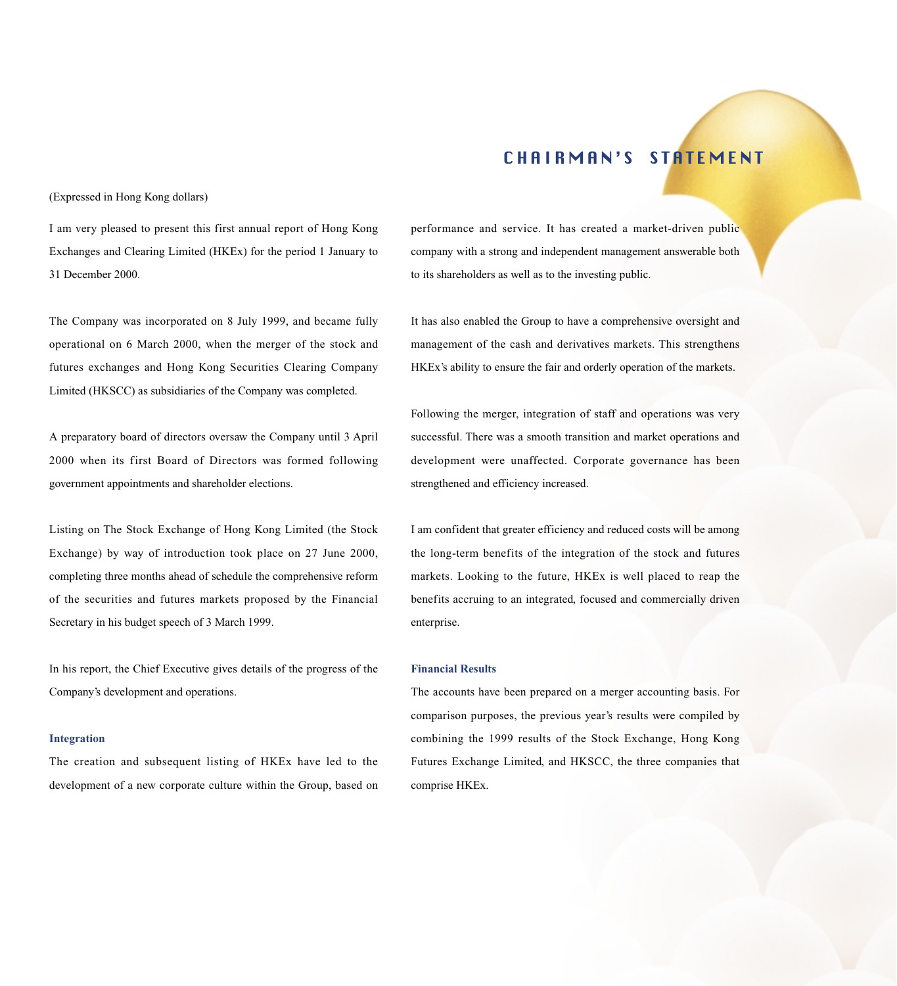# CHAIRMAN'S STATEMENT

(Expressed in Hong Kong dollars)

I am very pleased to present this first annual report of Hong Kong Exchanges and Clearing Limited (HKEx) for the period 1 January to 31 December 2000.

The Company was incorporated on 8 July 1999, and became fully operational on 6 March 2000, when the merger of the stock and futures exchanges and Hong Kong Securities Clearing Company Limited (HKSCC) as subsidiaries of the Company was completed.

A preparatory board of directors oversaw the Company until 3 April 2000 when its first Board of Directors was formed following government appointments and shareholder elections.

Listing on The Stock Exchange of Hong Kong Limited (the Stock Exchange) by way of introduction took place on 27 June 2000, completing three months ahead of schedule the comprehensive reform of the securities and futures markets proposed by the Financial Secretary in his budget speech of 3 March 1999.

In his report, the Chief Executive gives details of the progress of the Company's development and operations.

#### **Integration**

The creation and subsequent listing of HKEx have led to the development of a new corporate culture within the Group, based on performance and service. It has created a market-driven public company with a strong and independent management answerable both to its shareholders as well as to the investing public.

It has also enabled the Group to have a comprehensive oversight and management of the cash and derivatives markets. This strengthens HKEx's ability to ensure the fair and orderly operation of the markets.

Following the merger, integration of staff and operations was very successful. There was a smooth transition and market operations and development were unaffected. Corporate governance has been strengthened and efficiency increased.

I am confident that greater efficiency and reduced costs will be among the long-term benefits of the integration of the stock and futures markets. Looking to the future, HKEx is well placed to reap the benefits accruing to an integrated, focused and commercially driven enterprise.

## **Financial Results**

The accounts have been prepared on a merger accounting basis. For comparison purposes, the previous year's results were compiled by combining the 1999 results of the Stock Exchange, Hong Kong Futures Exchange Limited, and HKSCC, the three companies that comprise HKEx.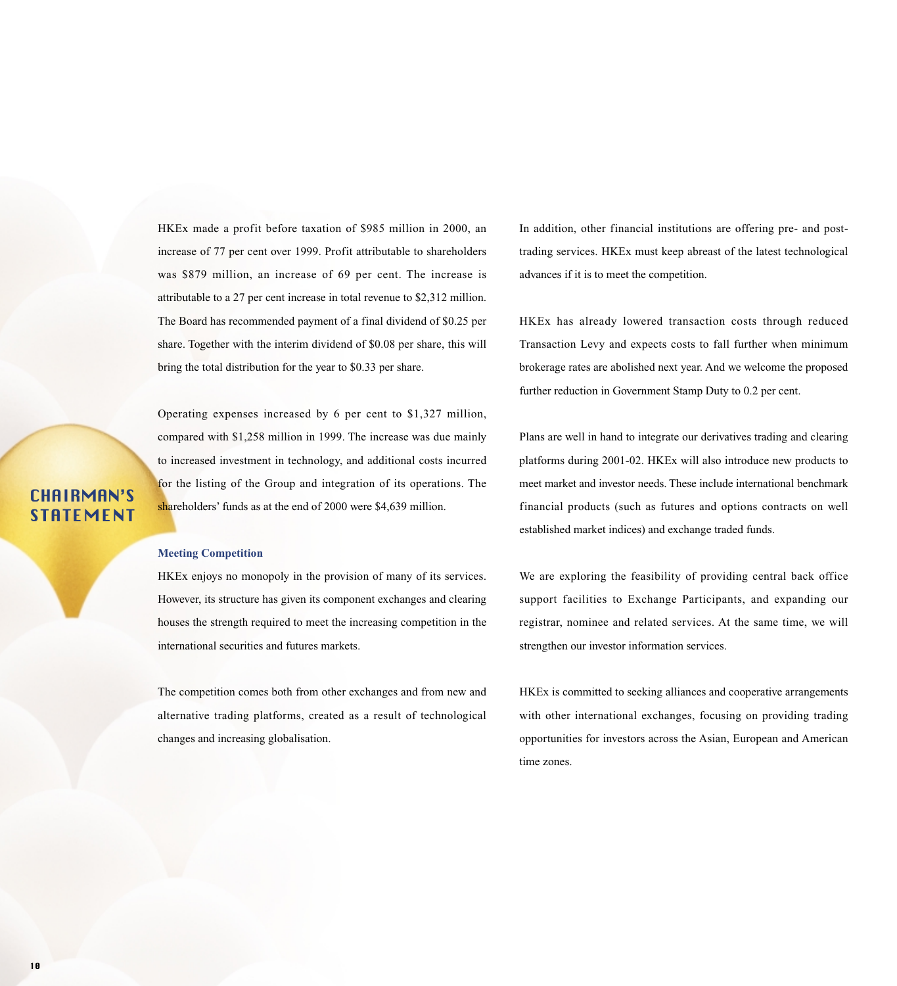HKEx made a profit before taxation of \$985 million in 2000, an increase of 77 per cent over 1999. Profit attributable to shareholders was \$879 million, an increase of 69 per cent. The increase is attributable to a 27 per cent increase in total revenue to \$2,312 million. The Board has recommended payment of a final dividend of \$0.25 per share. Together with the interim dividend of \$0.08 per share, this will bring the total distribution for the year to \$0.33 per share.

Operating expenses increased by 6 per cent to \$1,327 million, compared with \$1,258 million in 1999. The increase was due mainly to increased investment in technology, and additional costs incurred for the listing of the Group and integration of its operations. The shareholders' funds as at the end of 2000 were \$4,639 million.

# CHAIRMAN'S **STATEMENT**

#### **Meeting Competition**

HKEx enjoys no monopoly in the provision of many of its services. However, its structure has given its component exchanges and clearing houses the strength required to meet the increasing competition in the international securities and futures markets.

The competition comes both from other exchanges and from new and alternative trading platforms, created as a result of technological changes and increasing globalisation.

In addition, other financial institutions are offering pre- and posttrading services. HKEx must keep abreast of the latest technological advances if it is to meet the competition.

HKEx has already lowered transaction costs through reduced Transaction Levy and expects costs to fall further when minimum brokerage rates are abolished next year. And we welcome the proposed further reduction in Government Stamp Duty to 0.2 per cent.

Plans are well in hand to integrate our derivatives trading and clearing platforms during 2001-02. HKEx will also introduce new products to meet market and investor needs. These include international benchmark financial products (such as futures and options contracts on well established market indices) and exchange traded funds.

We are exploring the feasibility of providing central back office support facilities to Exchange Participants, and expanding our registrar, nominee and related services. At the same time, we will strengthen our investor information services.

HKEx is committed to seeking alliances and cooperative arrangements with other international exchanges, focusing on providing trading opportunities for investors across the Asian, European and American time zones.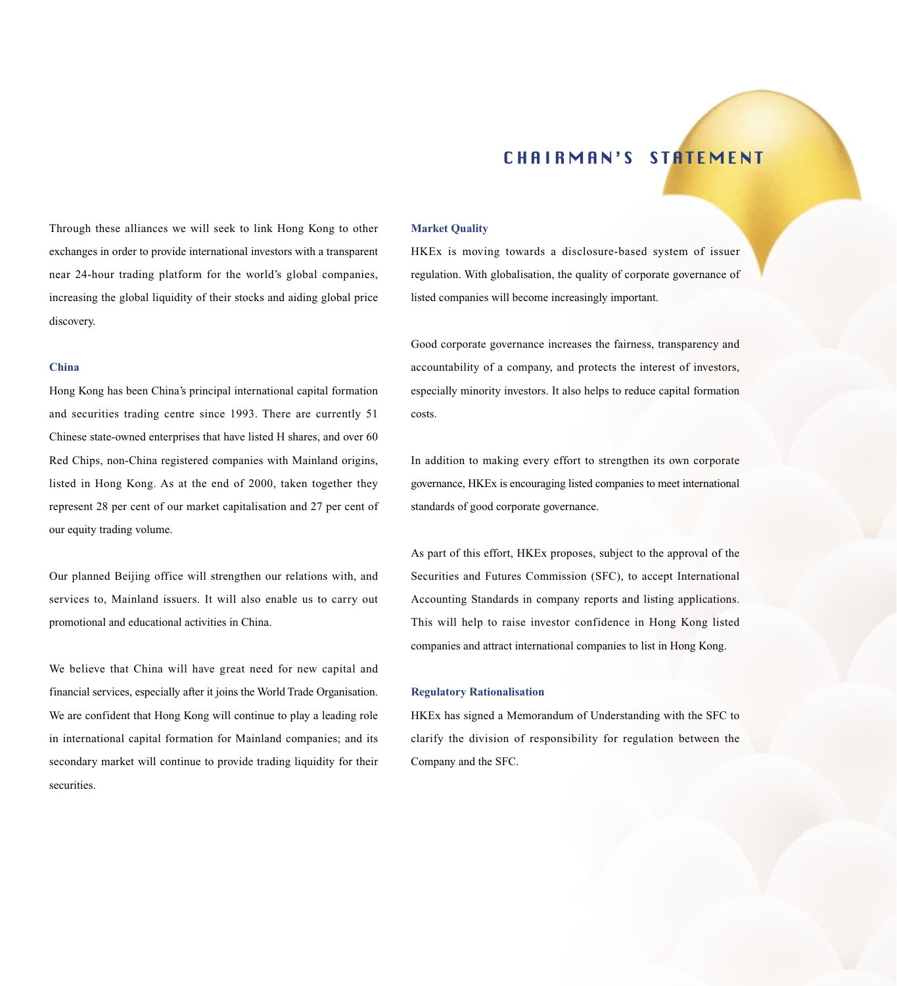## CHAIRMAN'S STATEMENT

Through these alliances we will seek to link Hong Kong to other exchanges in order to provide international investors with a transparent near 24-hour trading platform for the world's global companies, increasing the global liquidity of their stocks and aiding global price discovery.

## **China**

Hong Kong has been China's principal international capital formation and securities trading centre since 1993. There are currently 51 Chinese state-owned enterprises that have listed H shares, and over 60 Red Chips, non-China registered companies with Mainland origins, listed in Hong Kong. As at the end of 2000, taken together they represent 28 per cent of our market capitalisation and 27 per cent of our equity trading volume.

Our planned Beijing office will strengthen our relations with, and services to, Mainland issuers. It will also enable us to carry out promotional and educational activities in China.

We believe that China will have great need for new capital and financial services, especially after it joins the World Trade Organisation. We are confident that Hong Kong will continue to play a leading role in international capital formation for Mainland companies; and its secondary market will continue to provide trading liquidity for their securities.

#### **Market Quality**

HKEx is moving towards a disclosure-based system of issuer regulation. With globalisation, the quality of corporate governance of listed companies will become increasingly important.

Good corporate governance increases the fairness, transparency and accountability of a company, and protects the interest of investors, especially minority investors. It also helps to reduce capital formation costs.

In addition to making every effort to strengthen its own corporate governance, HKEx is encouraging listed companies to meet international standards of good corporate governance.

As part of this effort, HKEx proposes, subject to the approval of the Securities and Futures Commission (SFC), to accept International Accounting Standards in company reports and listing applications. This will help to raise investor confidence in Hong Kong listed companies and attract international companies to list in Hong Kong.

#### **Regulatory Rationalisation**

HKEx has signed a Memorandum of Understanding with the SFC to clarify the division of responsibility for regulation between the Company and the SFC.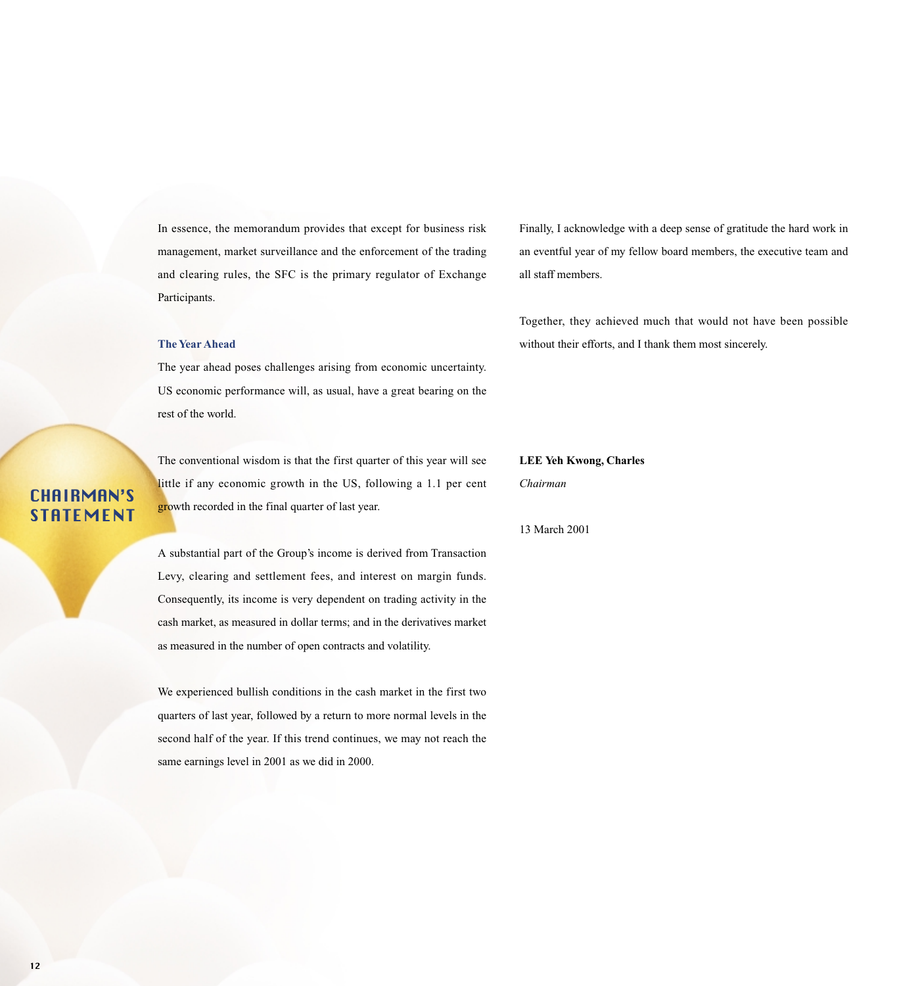In essence, the memorandum provides that except for business risk management, market surveillance and the enforcement of the trading and clearing rules, the SFC is the primary regulator of Exchange Participants.

### **The Year Ahead**

The year ahead poses challenges arising from economic uncertainty. US economic performance will, as usual, have a great bearing on the rest of the world.

The conventional wisdom is that the first quarter of this year will see little if any economic growth in the US, following a 1.1 per cent growth recorded in the final quarter of last year.

A substantial part of the Group's income is derived from Transaction Levy, clearing and settlement fees, and interest on margin funds. Consequently, its income is very dependent on trading activity in the cash market, as measured in dollar terms; and in the derivatives market as measured in the number of open contracts and volatility.

We experienced bullish conditions in the cash market in the first two quarters of last year, followed by a return to more normal levels in the second half of the year. If this trend continues, we may not reach the same earnings level in 2001 as we did in 2000.

Finally, I acknowledge with a deep sense of gratitude the hard work in an eventful year of my fellow board members, the executive team and all staff members.

Together, they achieved much that would not have been possible without their efforts, and I thank them most sincerely.

**LEE Yeh Kwong, Charles**

*Chairman*

13 March 2001

CHAIRMAN'S STATEMENT